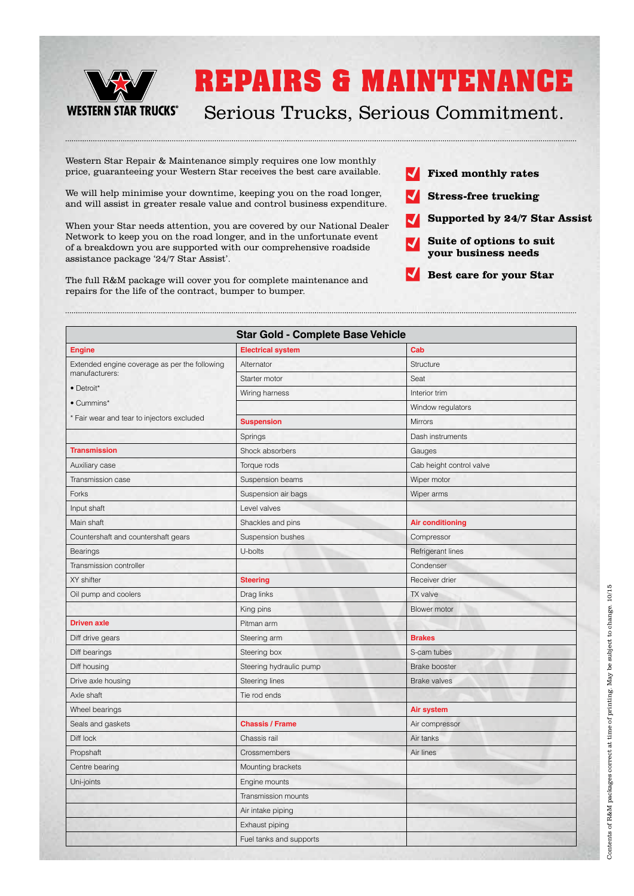

### Serious Trucks, Serious Commitment.

Western Star Repair & Maintenance simply requires one low monthly price, guaranteeing your Western Star receives the best care available.

We will help minimise your downtime, keeping you on the road longer, and will assist in greater resale value and control business expenditure.

When your Star needs attention, you are covered by our National Dealer Network to keep you on the road longer, and in the unfortunate event of a breakdown you are supported with our comprehensive roadside assistance package '24/7 Star Assist'.

The full R&M package will cover you for complete maintenance and repairs for the life of the contract, bumper to bumper.



- $\blacksquare$ **Stress-free trucking**
- **Supported by 24/7 Star Assist**  $\boldsymbol{J}$
- **Suite of options to suit**   $\blacktriangledown$ **your business needs**

V **Best care for your Star**

| <b>Star Gold - Complete Base Vehicle</b>      |                          |                          |
|-----------------------------------------------|--------------------------|--------------------------|
| <b>Engine</b>                                 | <b>Electrical system</b> | Cab                      |
| Extended engine coverage as per the following | Alternator               | Structure                |
| manufacturers:                                | Starter motor            | Seat                     |
| · Detroit*                                    | Wiring harness           | Interior trim            |
| • Cummins*                                    |                          | Window regulators        |
| * Fair wear and tear to injectors excluded    | <b>Suspension</b>        | <b>Mirrors</b>           |
|                                               | Springs                  | Dash instruments         |
| <b>Transmission</b>                           | Shock absorbers          | Gauges                   |
| Auxiliary case                                | Torque rods              | Cab height control valve |
| Transmission case                             | Suspension beams         | Wiper motor              |
| Forks                                         | Suspension air bags      | Wiper arms               |
| Input shaft                                   | Level valves             |                          |
| Main shaft                                    | Shackles and pins        | <b>Air conditioning</b>  |
| Countershaft and countershaft gears           | Suspension bushes        | Compressor               |
| <b>Bearings</b>                               | U-bolts                  | Refrigerant lines        |
| Transmission controller                       |                          | Condenser                |
| XY shifter                                    | <b>Steering</b>          | Receiver drier           |
| Oil pump and coolers                          | Drag links               | TX valve                 |
|                                               | King pins                | Blower motor             |
| <b>Driven axle</b>                            | Pitman arm               |                          |
| Diff drive gears                              | Steering arm             | <b>Brakes</b>            |
| Diff bearings                                 | Steering box             | S-cam tubes              |
| Diff housing                                  | Steering hydraulic pump  | <b>Brake booster</b>     |
| Drive axle housing                            | Steering lines           | <b>Brake valves</b>      |
| Axle shaft                                    | Tie rod ends             |                          |
| Wheel bearings                                |                          | Air system               |
| Seals and gaskets                             | <b>Chassis / Frame</b>   | Air compressor           |
| Diff lock                                     | Chassis rail             | Air tanks                |
| Propshaft                                     | Crossmembers             | Air lines                |
| Centre bearing                                | Mounting brackets        |                          |
| Uni-joints                                    | Engine mounts            |                          |
|                                               | Transmission mounts      |                          |
|                                               | Air intake piping        |                          |
|                                               | Exhaust piping           |                          |
|                                               | Fuel tanks and supports  |                          |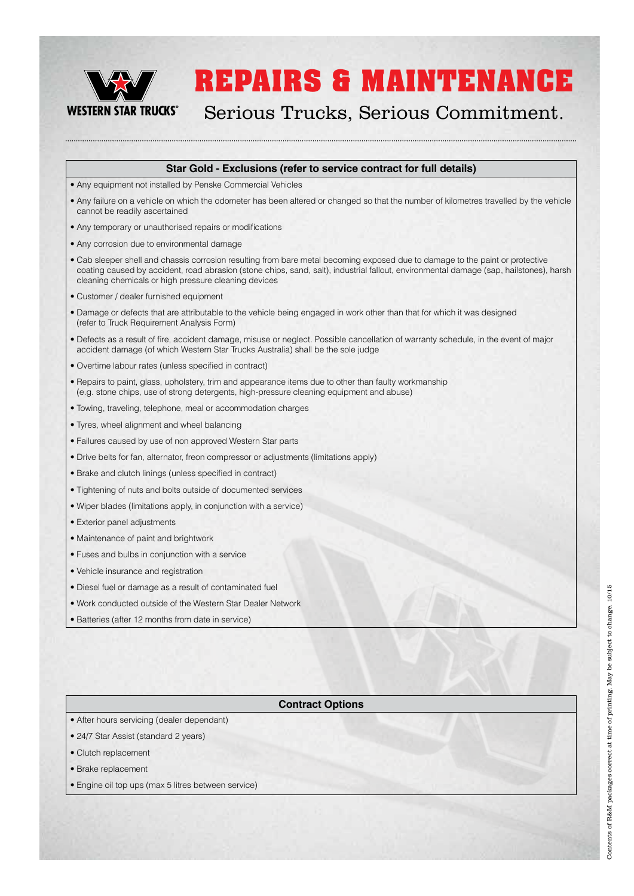

Serious Trucks, Serious Commitment.

#### **Star Gold - Exclusions (refer to service contract for full details)**

- Any equipment not installed by Penske Commercial Vehicles
- Any failure on a vehicle on which the odometer has been altered or changed so that the number of kilometres travelled by the vehicle cannot be readily ascertained
- Any temporary or unauthorised repairs or modifications
- Any corrosion due to environmental damage
- Cab sleeper shell and chassis corrosion resulting from bare metal becoming exposed due to damage to the paint or protective coating caused by accident, road abrasion (stone chips, sand, salt), industrial fallout, environmental damage (sap, hailstones), harsh cleaning chemicals or high pressure cleaning devices
- Customer / dealer furnished equipment
- Damage or defects that are attributable to the vehicle being engaged in work other than that for which it was designed (refer to Truck Requirement Analysis Form)
- Defects as a result of fire, accident damage, misuse or neglect. Possible cancellation of warranty schedule, in the event of major accident damage (of which Western Star Trucks Australia) shall be the sole judge
- Overtime labour rates (unless specified in contract)
- Repairs to paint, glass, upholstery, trim and appearance items due to other than faulty workmanship (e.g. stone chips, use of strong detergents, high-pressure cleaning equipment and abuse)
- Towing, traveling, telephone, meal or accommodation charges
- Tyres, wheel alignment and wheel balancing
- Failures caused by use of non approved Western Star parts
- Drive belts for fan, alternator, freon compressor or adjustments (limitations apply)
- Brake and clutch linings (unless specified in contract)
- Tightening of nuts and bolts outside of documented services
- Wiper blades (limitations apply, in conjunction with a service)
- Exterior panel adjustments
- Maintenance of paint and brightwork
- Fuses and bulbs in conjunction with a service
- Vehicle insurance and registration
- Diesel fuel or damage as a result of contaminated fuel
- Work conducted outside of the Western Star Dealer Network
- Batteries (after 12 months from date in service)

#### **Contract Options**

- After hours servicing (dealer dependant)
- 24/7 Star Assist (standard 2 years)
- Clutch replacement
- Brake replacement
- Engine oil top ups (max 5 litres between service)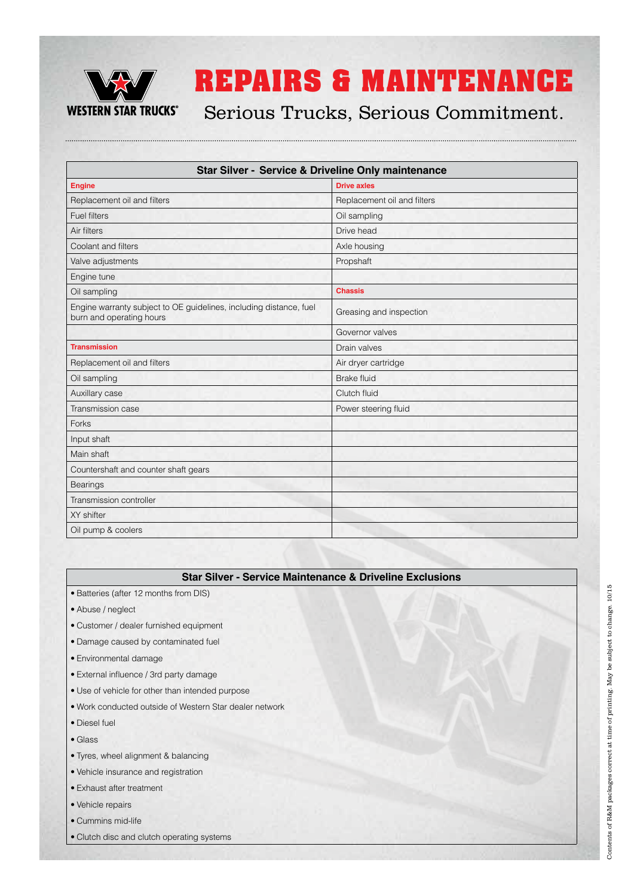

Serious Trucks, Serious Commitment.

| <b>Star Silver - Service &amp; Driveline Only maintenance</b>                                  |                             |  |
|------------------------------------------------------------------------------------------------|-----------------------------|--|
| <b>Engine</b>                                                                                  | <b>Drive axles</b>          |  |
| Replacement oil and filters                                                                    | Replacement oil and filters |  |
| <b>Fuel filters</b>                                                                            | Oil sampling                |  |
| Air filters                                                                                    | Drive head                  |  |
| Coolant and filters                                                                            | Axle housing                |  |
| Valve adjustments                                                                              | Propshaft                   |  |
| Engine tune                                                                                    |                             |  |
| Oil sampling                                                                                   | <b>Chassis</b>              |  |
| Engine warranty subject to OE guidelines, including distance, fuel<br>burn and operating hours | Greasing and inspection     |  |
|                                                                                                | Governor valves             |  |
| <b>Transmission</b>                                                                            | Drain valves                |  |
| Replacement oil and filters                                                                    | Air dryer cartridge         |  |
| Oil sampling                                                                                   | <b>Brake fluid</b>          |  |
| Auxillary case                                                                                 | Clutch fluid                |  |
| Transmission case                                                                              | Power steering fluid        |  |
| Forks                                                                                          |                             |  |
| Input shaft                                                                                    |                             |  |
| Main shaft                                                                                     |                             |  |
| Countershaft and counter shaft gears                                                           |                             |  |
| <b>Bearings</b>                                                                                |                             |  |
| Transmission controller                                                                        |                             |  |
| XY shifter                                                                                     |                             |  |
| Oil pump & coolers                                                                             |                             |  |

#### **Star Silver - Service Maintenance & Driveline Exclusions**

- Batteries (after 12 months from DIS)
- Abuse / neglect
- Customer / dealer furnished equipment
- Damage caused by contaminated fuel
- Environmental damage
- External influence / 3rd party damage
- Use of vehicle for other than intended purpose
- Work conducted outside of Western Star dealer network
- Diesel fuel
- Glass
- Tyres, wheel alignment & balancing
- Vehicle insurance and registration
- Exhaust after treatment
- Vehicle repairs
- Cummins mid-life
- Clutch disc and clutch operating systems

Contents of R&M packages correct at time of printing. May be subject to change. 10/15 Contents of R&M packages correct at time of printing. May be subject to change. 10/15